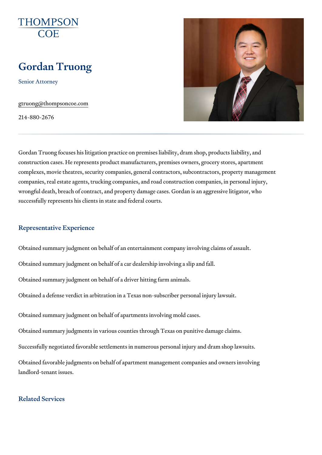# Gordan Truong

Senior Attorney

[gtruong@thompso](mailto:gtruong@thompsoncoe.com)ncoe.com

214-880-2676

Gordan Truong focuses his litigation practice on premises liability, dram s construction cases. He represents product manufacturers, premises owners complexes, movie theatres, security companies, general contractors, subco companies, real estate agents, trucking companies, and road construction wrongful death, breach of contract, and property damage cases. Gordan is successfully represents his clients in state and federal courts.

# Representative Experience

Obtained summary judgment on behalf of an entertainment company involvi Obtained summary judgment on behalf of a car dealership involving a slip Obtained summary judgment on behalf of a driver hitting farm animals. Obtained a defense verdict in arbitration in a Texas non-subscriber person

Obtained summary judgment on behalf of apartments involving mold cases. Obtained summary judgments in various counties through Texas on punitive Successfully negotiated favorable settlements in numerous personal injury Obtained favorable judgments on behalf of apartment management compani landlord-tenant issues.

# Related Services